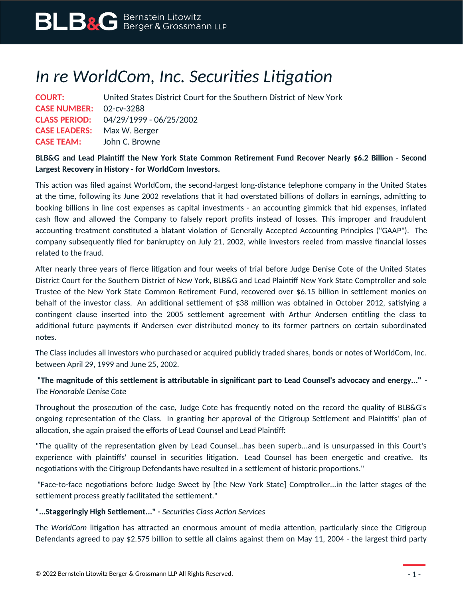# *In re WorldCom, Inc. Securities Litigation*

| <b>COURT:</b>                      | United States District Court for the Southern District of New York |
|------------------------------------|--------------------------------------------------------------------|
| <b>CASE NUMBER: 02-cv-3288</b>     |                                                                    |
|                                    | CLASS PERIOD: 04/29/1999 - 06/25/2002                              |
| <b>CASE LEADERS:</b> Max W. Berger |                                                                    |
| <b>CASE TEAM:</b> John C. Browne   |                                                                    |

## **BLB&G and Lead Plaintiff the New York State Common Retirement Fund Recover Nearly \$6.2 Billion - Second Largest Recovery in History - for WorldCom Investors.**

This action was filed against WorldCom, the second-largest long-distance telephone company in the United States at the time, following its June 2002 revelations that it had overstated billions of dollars in earnings, admitting to booking billions in line cost expenses as capital investments - an accounting gimmick that hid expenses, inflated cash flow and allowed the Company to falsely report profits instead of losses. This improper and fraudulent accounting treatment constituted a blatant violation of Generally Accepted Accounting Principles ("GAAP"). The company subsequently filed for bankruptcy on July 21, 2002, while investors reeled from massive financial losses related to the fraud.

After nearly three years of fierce litigation and four weeks of trial before Judge Denise Cote of the United States District Court for the Southern District of New York, BLB&G and Lead Plaintiff New York State Comptroller and sole Trustee of the New York State Common Retirement Fund, recovered over \$6.15 billion in settlement monies on behalf of the investor class. An additional settlement of \$38 million was obtained in October 2012, satisfying a contingent clause inserted into the 2005 settlement agreement with Arthur Andersen entitling the class to additional future payments if Andersen ever distributed money to its former partners on certain subordinated notes.

The Class includes all investors who purchased or acquired publicly traded shares, bonds or notes of WorldCom, Inc. between April 29, 1999 and June 25, 2002.

# **"The magnitude of this settlement is attributable in significant part to Lead Counsel's advocacy and energy..."** - *The Honorable Denise Cote*

Throughout the prosecution of the case, Judge Cote has frequently noted on the record the quality of BLB&G's ongoing representation of the Class. In granting her approval of the Citigroup Settlement and Plaintiffs' plan of allocation, she again praised the efforts of Lead Counsel and Lead Plaintiff:

"The quality of the representation given by Lead Counsel...has been superb...and is unsurpassed in this Court's experience with plaintiffs' counsel in securities litigation. Lead Counsel has been energetic and creative. Its negotiations with the Citigroup Defendants have resulted in a settlement of historic proportions."

"Face-to-face negotiations before Judge Sweet by [the New York State] Comptroller...in the latter stages of the settlement process greatly facilitated the settlement."

## **"...Staggeringly High Settlement..." -** *Securities Class Action Services*

The *WorldCom* litigation has attracted an enormous amount of media attention, particularly since the Citigroup Defendants agreed to pay \$2.575 billion to settle all claims against them on May 11, 2004 - the largest third party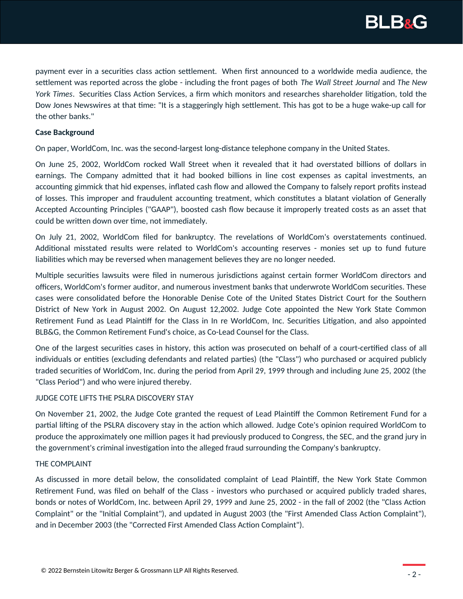

payment ever in a securities class action settlement. When first announced to a worldwide media audience, the settlement was reported across the globe - including the front pages of both *The Wall Street Journal* and *The New York Times*. Securities Class Action Services, a firm which monitors and researches shareholder litigation, told the Dow Jones Newswires at that time: "It is a staggeringly high settlement. This has got to be a huge wake-up call for the other banks."

## **Case Background**

On paper, WorldCom, Inc. was the second-largest long-distance telephone company in the United States.

On June 25, 2002, WorldCom rocked Wall Street when it revealed that it had overstated billions of dollars in earnings. The Company admitted that it had booked billions in line cost expenses as capital investments, an accounting gimmick that hid expenses, inflated cash flow and allowed the Company to falsely report profits instead of losses. This improper and fraudulent accounting treatment, which constitutes a blatant violation of Generally Accepted Accounting Principles ("GAAP"), boosted cash flow because it improperly treated costs as an asset that could be written down over time, not immediately.

On July 21, 2002, WorldCom filed for bankruptcy. The revelations of WorldCom's overstatements continued. Additional misstated results were related to WorldCom's accounting reserves - monies set up to fund future liabilities which may be reversed when management believes they are no longer needed.

Multiple securities lawsuits were filed in numerous jurisdictions against certain former WorldCom directors and officers, WorldCom's former auditor, and numerous investment banks that underwrote WorldCom securities. These cases were consolidated before the Honorable Denise Cote of the United States District Court for the Southern District of New York in August 2002. On August 12,2002. Judge Cote appointed the New York State Common Retirement Fund as Lead Plaintiff for the Class in In re WorldCom, Inc. Securities Litigation, and also appointed BLB&G, the Common Retirement Fund's choice, as Co-Lead Counsel for the Class.

One of the largest securities cases in history, this action was prosecuted on behalf of a court-certified class of all individuals or entities (excluding defendants and related parties) (the "Class") who purchased or acquired publicly traded securities of WorldCom, Inc. during the period from April 29, 1999 through and including June 25, 2002 (the "Class Period") and who were injured thereby.

### JUDGE COTE LIFTS THE PSLRA DISCOVERY STAY

On November 21, 2002, the Judge Cote granted the request of Lead Plaintiff the Common Retirement Fund for a partial lifting of the PSLRA discovery stay in the action which allowed. Judge Cote's opinion required WorldCom to produce the approximately one million pages it had previously produced to Congress, the SEC, and the grand jury in the government's criminal investigation into the alleged fraud surrounding the Company's bankruptcy.

### THE COMPLAINT

As discussed in more detail below, the consolidated complaint of Lead Plaintiff, the New York State Common Retirement Fund, was filed on behalf of the Class - investors who purchased or acquired publicly traded shares, bonds or notes of WorldCom, Inc. between April 29, 1999 and June 25, 2002 - in the fall of 2002 (the "Class Action Complaint" or the "Initial Complaint"), and updated in August 2003 (the "First Amended Class Action Complaint"), and in December 2003 (the "Corrected First Amended Class Action Complaint").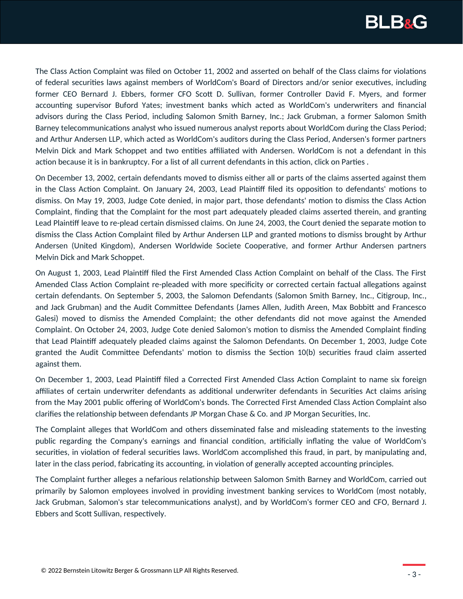

The Class Action Complaint was filed on October 11, 2002 and asserted on behalf of the Class claims for violations of federal securities laws against members of WorldCom's Board of Directors and/or senior executives, including former CEO Bernard J. Ebbers, former CFO Scott D. Sullivan, former Controller David F. Myers, and former accounting supervisor Buford Yates; investment banks which acted as WorldCom's underwriters and financial advisors during the Class Period, including Salomon Smith Barney, Inc.; Jack Grubman, a former Salomon Smith Barney telecommunications analyst who issued numerous analyst reports about WorldCom during the Class Period; and Arthur Andersen LLP, which acted as WorldCom's auditors during the Class Period, Andersen's former partners Melvin Dick and Mark Schoppet and two entities affiliated with Andersen. WorldCom is not a defendant in this action because it is in bankruptcy. For a list of all current defendants in this action, click on Parties .

On December 13, 2002, certain defendants moved to dismiss either all or parts of the claims asserted against them in the Class Action Complaint. On January 24, 2003, Lead Plaintiff filed its opposition to defendants' motions to dismiss. On May 19, 2003, Judge Cote denied, in major part, those defendants' motion to dismiss the Class Action Complaint, finding that the Complaint for the most part adequately pleaded claims asserted therein, and granting Lead Plaintiff leave to re-plead certain dismissed claims. On June 24, 2003, the Court denied the separate motion to dismiss the Class Action Complaint filed by Arthur Andersen LLP and granted motions to dismiss brought by Arthur Andersen (United Kingdom), Andersen Worldwide Societe Cooperative, and former Arthur Andersen partners Melvin Dick and Mark Schoppet.

On August 1, 2003, Lead Plaintiff filed the First Amended Class Action Complaint on behalf of the Class. The First Amended Class Action Complaint re-pleaded with more specificity or corrected certain factual allegations against certain defendants. On September 5, 2003, the Salomon Defendants (Salomon Smith Barney, Inc., Citigroup, Inc., and Jack Grubman) and the Audit Committee Defendants (James Allen, Judith Areen, Max Bobbitt and Francesco Galesi) moved to dismiss the Amended Complaint; the other defendants did not move against the Amended Complaint. On October 24, 2003, Judge Cote denied Salomon's motion to dismiss the Amended Complaint finding that Lead Plaintiff adequately pleaded claims against the Salomon Defendants. On December 1, 2003, Judge Cote granted the Audit Committee Defendants' motion to dismiss the Section 10(b) securities fraud claim asserted against them.

On December 1, 2003, Lead Plaintiff filed a Corrected First Amended Class Action Complaint to name six foreign affiliates of certain underwriter defendants as additional underwriter defendants in Securities Act claims arising from the May 2001 public offering of WorldCom's bonds. The Corrected First Amended Class Action Complaint also clarifies the relationship between defendants JP Morgan Chase & Co. and JP Morgan Securities, Inc.

The Complaint alleges that WorldCom and others disseminated false and misleading statements to the investing public regarding the Company's earnings and financial condition, artificially inflating the value of WorldCom's securities, in violation of federal securities laws. WorldCom accomplished this fraud, in part, by manipulating and, later in the class period, fabricating its accounting, in violation of generally accepted accounting principles.

The Complaint further alleges a nefarious relationship between Salomon Smith Barney and WorldCom, carried out primarily by Salomon employees involved in providing investment banking services to WorldCom (most notably, Jack Grubman, Salomon's star telecommunications analyst), and by WorldCom's former CEO and CFO, Bernard J. Ebbers and Scott Sullivan, respectively.